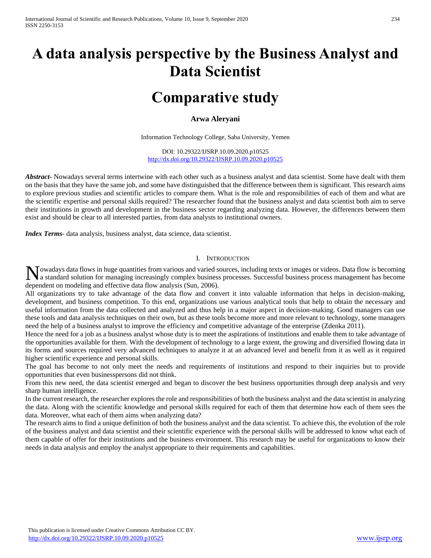# **A data analysis perspective by the Business Analyst and Data Scientist**

## **Comparative study**

## **Arwa Aleryani**

Information Technology College, Saba University, Yemen

DOI: 10.29322/IJSRP.10.09.2020.p10525 <http://dx.doi.org/10.29322/IJSRP.10.09.2020.p10525>

*Abstract***-** Nowadays several terms intertwine with each other such as a business analyst and data scientist. Some have dealt with them on the basis that they have the same job, and some have distinguished that the difference between them is significant. This research aims to explore previous studies and scientific articles to compare them. What is the role and responsibilities of each of them and what are the scientific expertise and personal skills required? The researcher found that the business analyst and data scientist both aim to serve their institutions in growth and development in the business sector regarding analyzing data. However, the differences between them exist and should be clear to all interested parties, from data analysts to institutional owners.

*Index Terms*- data analysis, business analyst, data science, data scientist.

### I. INTRODUCTION

Towadays data flows in huge quantities from various and varied sources, including texts or images or videos. Data flow is becoming Nowadays data flows in huge quantities from various and varied sources, including texts or images or videos. Data flow is becoming a standard solution for managing increasingly complex business processes. Successful busine dependent on modeling and effective data flow analysis (Sun, 2006).

All organizations try to take advantage of the data flow and convert it into valuable information that helps in decision-making, development, and business competition. To this end, organizations use various analytical tools that help to obtain the necessary and useful information from the data collected and analyzed and thus help in a major aspect in decision-making. Good managers can use these tools and data analysis techniques on their own, but as these tools become more and more relevant to technology, some managers need the help of a business analyst to improve the efficiency and competitive advantage of the enterprise (Zdenka 2011).

Hence the need for a job as a business analyst whose duty is to meet the aspirations of institutions and enable them to take advantage of the opportunities available for them. With the development of technology to a large extent, the growing and diversified flowing data in its forms and sources required very advanced techniques to analyze it at an advanced level and benefit from it as well as it required higher scientific experience and personal skills.

The goal has become to not only meet the needs and requirements of institutions and respond to their inquiries but to provide opportunities that even businesspersons did not think.

From this new need, the data scientist emerged and began to discover the best business opportunities through deep analysis and very sharp human intelligence.

In the current research, the researcher explores the role and responsibilities of both the business analyst and the data scientist in analyzing the data. Along with the scientific knowledge and personal skills required for each of them that determine how each of them sees the data. Moreover, what each of them aims when analyzing data?

The research aims to find a unique definition of both the business analyst and the data scientist. To achieve this, the evolution of the role of the business analyst and data scientist and their scientific experience with the personal skills will be addressed to know what each of them capable of offer for their institutions and the business environment. This research may be useful for organizations to know their needs in data analysis and employ the analyst appropriate to their requirements and capabilities.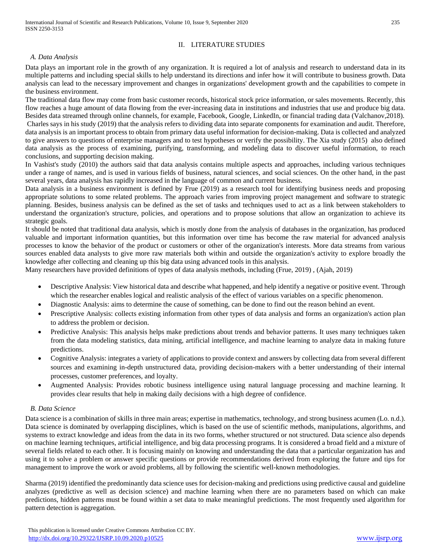## II. LITERATURE STUDIES

### *A. Data Analysis*

Data plays an important role in the growth of any organization. It is required a lot of analysis and research to understand data in its multiple patterns and including special skills to help understand its directions and infer how it will contribute to business growth. Data analysis can lead to the necessary improvement and changes in organizations' development growth and the capabilities to compete in the business environment.

The traditional data flow may come from basic customer records, historical stock price information, or sales movements. Recently, this flow reaches a huge amount of data flowing from the ever-increasing data in institutions and industries that use and produce big data. Besides data streamed through online channels, for example, Facebook, Google, LinkedIn, or financial trading data (Valchanov,2018). Charles says in his study (2019) that the analysis refers to dividing data into separate components for examination and audit. Therefore, data analysis is an important process to obtain from primary data useful information for decision-making. Data is collected and analyzed to give answers to questions of enterprise managers and to test hypotheses or verify the possibility. The Xia study (2015) also defined data analysis as the process of examining, purifying, transforming, and modeling data to discover useful information, to reach conclusions, and supporting decision making.

In Vashist's study (2010) the authors said that data analysis contains multiple aspects and approaches, including various techniques under a range of names, and is used in various fields of business, natural sciences, and social sciences. On the other hand, in the past several years, data analysis has rapidly increased in the language of common and current business.

Data analysis in a business environment is defined by Frue (2019) as a research tool for identifying business needs and proposing appropriate solutions to some related problems. The approach varies from improving project management and software to strategic planning. Besides, business analysis can be defined as the set of tasks and techniques used to act as a link between stakeholders to understand the organization's structure, policies, and operations and to propose solutions that allow an organization to achieve its strategic goals.

It should be noted that traditional data analysis, which is mostly done from the analysis of databases in the organization, has produced valuable and important information quantities, but this information over time has become the raw material for advanced analysis processes to know the behavior of the product or customers or other of the organization's interests. More data streams from various sources enabled data analysts to give more raw materials both within and outside the organization's activity to explore broadly the knowledge after collecting and cleaning up this big data using advanced tools in this analysis.

Many researchers have provided definitions of types of data analysis methods, including (Frue, 2019) , (Ajah, 2019)

- Descriptive Analysis: View historical data and describe what happened, and help identify a negative or positive event. Through which the researcher enables logical and realistic analysis of the effect of various variables on a specific phenomenon.
- Diagnostic Analysis: aims to determine the cause of something, can be done to find out the reason behind an event.
- Prescriptive Analysis: collects existing information from other types of data analysis and forms an organization's action plan to address the problem or decision.
- Predictive Analysis: This analysis helps make predictions about trends and behavior patterns. It uses many techniques taken from the data modeling statistics, data mining, artificial intelligence, and machine learning to analyze data in making future predictions.
- Cognitive Analysis: integrates a variety of applications to provide context and answers by collecting data from several different sources and examining in-depth unstructured data, providing decision-makers with a better understanding of their internal processes, customer preferences, and loyalty.
- Augmented Analysis: Provides robotic business intelligence using natural language processing and machine learning. It provides clear results that help in making daily decisions with a high degree of confidence.

### *B. Data Science*

Data science is a combination of skills in three main areas; expertise in mathematics, technology, and strong business acumen (Lo. n.d.). Data science is dominated by overlapping disciplines, which is based on the use of scientific methods, manipulations, algorithms, and systems to extract knowledge and ideas from the data in its two forms, whether structured or not structured. Data science also depends on machine learning techniques, artificial intelligence, and big data processing programs. It is considered a broad field and a mixture of several fields related to each other. It is focusing mainly on knowing and understanding the data that a particular organization has and using it to solve a problem or answer specific questions or provide recommendations derived from exploring the future and tips for management to improve the work or avoid problems, all by following the scientific well-known methodologies.

Sharma (2019) identified the predominantly data science uses for decision-making and predictions using predictive causal and guideline analyzes (predictive as well as decision science) and machine learning when there are no parameters based on which can make predictions, hidden patterns must be found within a set data to make meaningful predictions. The most frequently used algorithm for pattern detection is aggregation.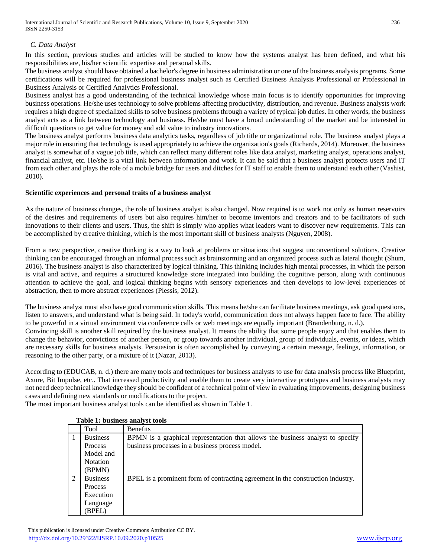## *C. Data Analyst*

In this section, previous studies and articles will be studied to know how the systems analyst has been defined, and what his responsibilities are, his/her scientific expertise and personal skills.

The business analyst should have obtained a bachelor's degree in business administration or one of the business analysis programs. Some certifications will be required for professional business analyst such as Certified Business Analysis Professional or Professional in Business Analysis or Certified Analytics Professional.

Business analyst has a good understanding of the technical knowledge whose main focus is to identify opportunities for improving business operations. He/she uses technology to solve problems affecting productivity, distribution, and revenue. Business analysts work requires a high degree of specialized skills to solve business problems through a variety of typical job duties. In other words, the business analyst acts as a link between technology and business. He/she must have a broad understanding of the market and be interested in difficult questions to get value for money and add value to industry innovations.

The business analyst performs business data analytics tasks, regardless of job title or organizational role. The business analyst plays a major role in ensuring that technology is used appropriately to achieve the organization's goals (Richards, 2014). Moreover, the business analyst is somewhat of a vague job title, which can reflect many different roles like data analyst, marketing analyst, operations analyst, financial analyst, etc. He/she is a vital link between information and work. It can be said that a business analyst protects users and IT from each other and plays the role of a mobile bridge for users and ditches for IT staff to enable them to understand each other (Vashist, 2010).

### **Scientific experiences and personal traits of a business analyst**

As the nature of business changes, the role of business analyst is also changed. Now required is to work not only as human reservoirs of the desires and requirements of users but also requires him/her to become inventors and creators and to be facilitators of such innovations to their clients and users. Thus, the shift is simply who applies what leaders want to discover new requirements. This can be accomplished by creative thinking, which is the most important skill of business analysts (Nguyen, 2008).

From a new perspective, creative thinking is a way to look at problems or situations that suggest unconventional solutions. Creative thinking can be encouraged through an informal process such as brainstorming and an organized process such as lateral thought (Shum, 2016). The business analyst is also characterized by logical thinking. This thinking includes high mental processes, in which the person is vital and active, and requires a structured knowledge store integrated into building the cognitive person, along with continuous attention to achieve the goal, and logical thinking begins with sensory experiences and then develops to low-level experiences of abstraction, then to more abstract experiences (Plessis, 2012).

The business analyst must also have good communication skills. This means he/she can facilitate business meetings, ask good questions, listen to answers, and understand what is being said. In today's world, communication does not always happen face to face. The ability to be powerful in a virtual environment via conference calls or web meetings are equally important (Brandenburg, n. d.). Convincing skill is another skill required by the business analyst. It means the ability that some people enjoy and that enables them to change the behavior, convictions of another person, or group towards another individual, group of individuals, events, or ideas, which are necessary skills for business analysts. Persuasion is often accomplished by conveying a certain message, feelings, information, or reasoning to the other party, or a mixture of it (Nazar, 2013).

According to (EDUCAB, n. d.) there are many tools and techniques for business analysts to use for data analysis process like Blueprint, Axure, Bit Impulse, etc.. That increased productivity and enable them to create very interactive prototypes and business analysts may not need deep technical knowledge they should be confident of a technical point of view in evaluating improvements, designing business cases and defining new standards or modifications to the project.

The most important business analyst tools can be identified as shown in Table 1.

|                             | Tool            | <b>Benefits</b>                                                                 |  |
|-----------------------------|-----------------|---------------------------------------------------------------------------------|--|
|                             | <b>Business</b> | BPMN is a graphical representation that allows the business analyst to specify  |  |
|                             | <b>Process</b>  | business processes in a business process model.                                 |  |
|                             | Model and       |                                                                                 |  |
|                             | <b>Notation</b> |                                                                                 |  |
|                             | (BPMN)          |                                                                                 |  |
| $\mathcal{D}_{\mathcal{A}}$ | <b>Business</b> | BPEL is a prominent form of contracting agreement in the construction industry. |  |
|                             | <b>Process</b>  |                                                                                 |  |
|                             | Execution       |                                                                                 |  |
|                             | Language        |                                                                                 |  |
|                             | <b>BPEL</b> )   |                                                                                 |  |

### **Table 1: business analyst tools**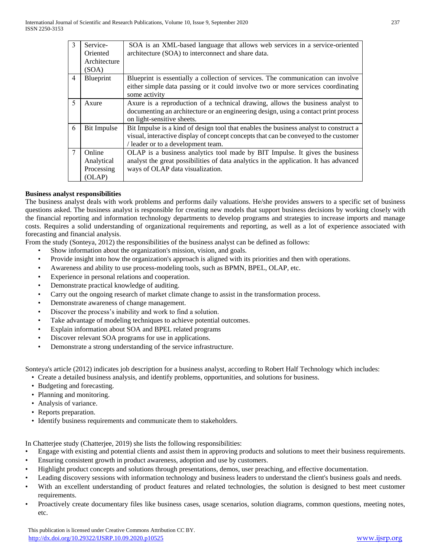| $\mathbf{3}$   | Service-<br>Oriented<br>Architecture         | SOA is an XML-based language that allows web services in a service-oriented<br>architecture (SOA) to interconnect and share data.                                                                                   |
|----------------|----------------------------------------------|---------------------------------------------------------------------------------------------------------------------------------------------------------------------------------------------------------------------|
| $\overline{4}$ | (SOA)<br>Blueprint                           | Blueprint is essentially a collection of services. The communication can involve                                                                                                                                    |
|                |                                              | either simple data passing or it could involve two or more services coordinating<br>some activity                                                                                                                   |
| 5              | Axure                                        | Axure is a reproduction of a technical drawing, allows the business analyst to<br>documenting an architecture or an engineering design, using a contact print process<br>on light-sensitive sheets.                 |
| 6              | Bit Impulse                                  | Bit Impulse is a kind of design tool that enables the business analyst to construct a<br>visual, interactive display of concept concepts that can be conveyed to the customer<br>/ leader or to a development team. |
| 7              | Online<br>Analytical<br>Processing<br>(OLAP) | OLAP is a business analytics tool made by BIT Impulse. It gives the business<br>analyst the great possibilities of data analytics in the application. It has advanced<br>ways of OLAP data visualization.           |

#### **Business analyst responsibilities**

The business analyst deals with work problems and performs daily valuations. He/she provides answers to a specific set of business questions asked. The business analyst is responsible for creating new models that support business decisions by working closely with the financial reporting and information technology departments to develop programs and strategies to increase imports and manage costs. Requires a solid understanding of organizational requirements and reporting, as well as a lot of experience associated with forecasting and financial analysis.

From the study (Sonteya, 2012) the responsibilities of the business analyst can be defined as follows:

- Show information about the organization's mission, vision, and goals.
- Provide insight into how the organization's approach is aligned with its priorities and then with operations.
- Awareness and ability to use process-modeling tools, such as BPMN, BPEL, OLAP, etc.
- Experience in personal relations and cooperation.
- Demonstrate practical knowledge of auditing.
- Carry out the ongoing research of market climate change to assist in the transformation process.
- Demonstrate awareness of change management.
- Discover the process's inability and work to find a solution.
- Take advantage of modeling techniques to achieve potential outcomes.
- Explain information about SOA and BPEL related programs
- Discover relevant SOA programs for use in applications.
- Demonstrate a strong understanding of the service infrastructure.

Sonteya's article (2012) indicates job description for a business analyst, according to Robert Half Technology which includes:

- Create a detailed business analysis, and identify problems, opportunities, and solutions for business.
- Budgeting and forecasting.
- Planning and monitoring.
- Analysis of variance.
- Reports preparation.
- Identify business requirements and communicate them to stakeholders.

In Chatterjee study (Chatterjee, 2019) she lists the following responsibilities:

- Engage with existing and potential clients and assist them in approving products and solutions to meet their business requirements.
- Ensuring consistent growth in product awareness, adoption and use by customers.
- Highlight product concepts and solutions through presentations, demos, user preaching, and effective documentation.
- Leading discovery sessions with information technology and business leaders to understand the client's business goals and needs.
- With an excellent understanding of product features and related technologies, the solution is designed to best meet customer requirements.
- Proactively create documentary files like business cases, usage scenarios, solution diagrams, common questions, meeting notes, etc.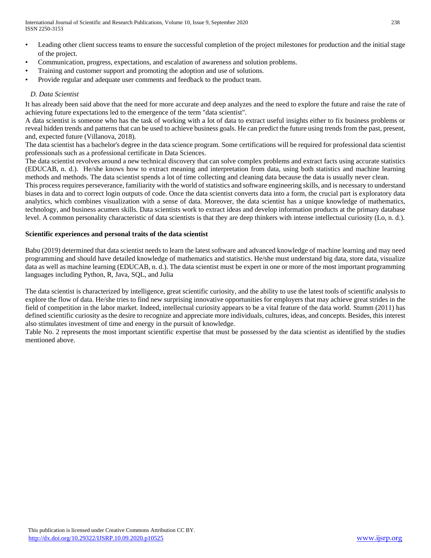- Leading other client success teams to ensure the successful completion of the project milestones for production and the initial stage of the project.
- Communication, progress, expectations, and escalation of awareness and solution problems.
- Training and customer support and promoting the adoption and use of solutions.
- Provide regular and adequate user comments and feedback to the product team.

## *D. Data Scientist*

It has already been said above that the need for more accurate and deep analyzes and the need to explore the future and raise the rate of achieving future expectations led to the emergence of the term "data scientist".

A data scientist is someone who has the task of working with a lot of data to extract useful insights either to fix business problems or reveal hidden trends and patterns that can be used to achieve business goals. He can predict the future using trends from the past, present, and, expected future (Villanova, 2018).

The data scientist has a bachelor's degree in the data science program. Some certifications will be required for professional data scientist professionals such as a professional certificate in Data Sciences.

The data scientist revolves around a new technical discovery that can solve complex problems and extract facts using accurate statistics (EDUCAB, n. d.). He/she knows how to extract meaning and interpretation from data, using both statistics and machine learning methods and methods. The data scientist spends a lot of time collecting and cleaning data because the data is usually never clean.

This process requires perseverance, familiarity with the world of statistics and software engineering skills, and is necessary to understand biases in data and to correct login outputs of code. Once the data scientist converts data into a form, the crucial part is exploratory data analytics, which combines visualization with a sense of data. Moreover, the data scientist has a unique knowledge of mathematics, technology, and business acumen skills. Data scientists work to extract ideas and develop information products at the primary database level. A common personality characteristic of data scientists is that they are deep thinkers with intense intellectual curiosity (Lo, n. d.).

### **Scientific experiences and personal traits of the data scientist**

Babu (2019) determined that data scientist needs to learn the latest software and advanced knowledge of machine learning and may need programming and should have detailed knowledge of mathematics and statistics. He/she must understand big data, store data, visualize data as well as machine learning (EDUCAB, n. d.). The data scientist must be expert in one or more of the most important programming languages including Python, R, Java, SQL, and Julia

The data scientist is characterized by intelligence, great scientific curiosity, and the ability to use the latest tools of scientific analysis to explore the flow of data. He/she tries to find new surprising innovative opportunities for employers that may achieve great strides in the field of competition in the labor market. Indeed, intellectual curiosity appears to be a vital feature of the data world. Stumm (2011) has defined scientific curiosity as the desire to recognize and appreciate more individuals, cultures, ideas, and concepts. Besides, this interest also stimulates investment of time and energy in the pursuit of knowledge.

Table No. 2 represents the most important scientific expertise that must be possessed by the data scientist as identified by the studies mentioned above.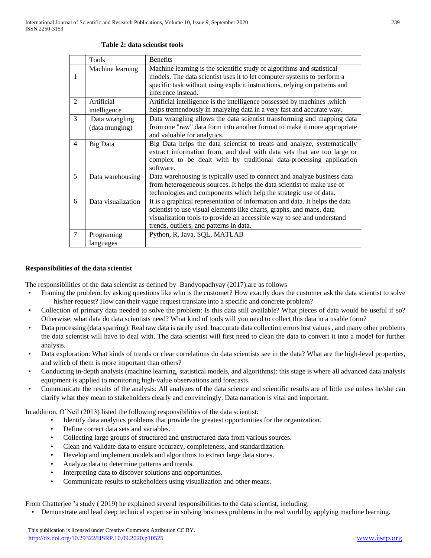|   | Tools              | <b>Benefits</b>                                                             |  |
|---|--------------------|-----------------------------------------------------------------------------|--|
|   | Machine learning   | Machine learning is the scientific study of algorithms and statistical      |  |
| 1 |                    | models. The data scientist uses it to let computer systems to perform a     |  |
|   |                    | specific task without using explicit instructions, relying on patterns and  |  |
|   |                    | inference instead.                                                          |  |
| 2 | Artificial         | Artificial intelligence is the intelligence possessed by machines, which    |  |
|   | intelligence       | helps tremendously in analyzing data in a very fast and accurate way.       |  |
| 3 | Data wrangling     | Data wrangling allows the data scientist transforming and mapping data      |  |
|   | (data munging)     | from one "raw" data form into another format to make it more appropriate    |  |
|   |                    | and valuable for analytics.                                                 |  |
| 4 | Big Data           | Big Data helps the data scientist to treats and analyze, systematically     |  |
|   |                    | extract information from, and deal with data sets that are too large or     |  |
|   |                    | complex to be dealt with by traditional data-processing application         |  |
|   |                    | software.                                                                   |  |
| 5 | Data warehousing   | Data warehousing is typically used to connect and analyze business data     |  |
|   |                    | from heterogeneous sources. It helps the data scientist to make use of      |  |
|   |                    | technologies and components which help the strategic use of data.           |  |
| 6 | Data visualization | It is a graphical representation of information and data. It helps the data |  |
|   |                    | scientist to use visual elements like charts, graphs, and maps, data        |  |
|   |                    | visualization tools to provide an accessible way to see and understand      |  |
|   |                    | trends, outliers, and patterns in data.                                     |  |
| 7 | Programing         | Python, R, Java, SQL, MATLAB                                                |  |
|   | languages          |                                                                             |  |

#### **Table 2: data scientist tools**

#### **Responsibilities of the data scientist**

The responsibilities of the data scientist as defined by Bandyopadhyay (2017):are as follows

- Framing the problem: by asking questions like who is the customer? How exactly does the customer ask the data scientist to solve his/her request? How can their vague request translate into a specific and concrete problem?
- Collection of primary data needed to solve the problem: Is this data still available? What pieces of data would be useful if so? Otherwise, what data do data scientists need? What kind of tools will you need to collect this data in a usable form?
- Data processing (data sparring): Real raw data is rarely used. Inaccurate data collection errors lost values , and many other problems the data scientist will have to deal with. The data scientist will first need to clean the data to convert it into a model for further analysis.
- Data exploration: What kinds of trends or clear correlations do data scientists see in the data? What are the high-level properties, and which of them is more important than others?
- Conducting in-depth analysis (machine learning, statistical models, and algorithms): this stage is where all advanced data analysis equipment is applied to monitoring high-value observations and forecasts.
- Communicate the results of the analysis: All analyzes of the data science and scientific results are of little use unless he/she can clarify what they mean to stakeholders clearly and convincingly. Data narration is vital and important.

In addition, O'Neil (2013) listed the following responsibilities of the data scientist:

- Identify data analytics problems that provide the greatest opportunities for the organization.
- Define correct data sets and variables.
- Collecting large groups of structured and unstructured data from various sources.
- Clean and validate data to ensure accuracy, completeness, and standardization.
- Develop and implement models and algorithms to extract large data stores.
- Analyze data to determine patterns and trends.
- Interpreting data to discover solutions and opportunities.
- Communicate results to stakeholders using visualization and other means.

From Chatterjee 's study ( 2019) he explained several responsibilities to the data scientist, including:

• Demonstrate and lead deep technical expertise in solving business problems in the real world by applying machine learning.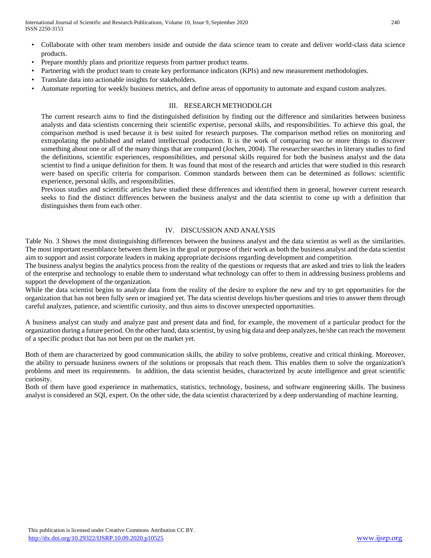- Collaborate with other team members inside and outside the data science team to create and deliver world-class data science products.
- Prepare monthly plans and prioritize requests from partner product teams.
- Partnering with the product team to create key performance indicators (KPIs) and new measurement methodologies.
- Translate data into actionable insights for stakeholders.
- Automate reporting for weekly business metrics, and define areas of opportunity to automate and expand custom analyzes.

## III. RESEARCH METHODOLGH

The current research aims to find the distinguished definition by finding out the difference and similarities between business analysts and data scientists concerning their scientific expertise, personal skills, and responsibilities. To achieve this goal, the comparison method is used because it is best suited for research purposes. The comparison method relies on monitoring and extrapolating the published and related intellectual production. It is the work of comparing two or more things to discover something about one or all of the many things that are compared (Jochen, 2004). The researcher searches in literary studies to find the definitions, scientific experiences, responsibilities, and personal skills required for both the business analyst and the data scientist to find a unique definition for them. It was found that most of the research and articles that were studied in this research were based on specific criteria for comparison. Common standards between them can be determined as follows: scientific experience, personal skills, and responsibilities.

Previous studies and scientific articles have studied these differences and identified them in general, however current research seeks to find the distinct differences between the business analyst and the data scientist to come up with a definition that distinguishes them from each other.

## IV. DISCUSSION AND ANALYSIS

Table No. 3 Shows the most distinguishing differences between the business analyst and the data scientist as well as the similarities. The most important resemblance between them lies in the goal or purpose of their work as both the business analyst and the data scientist aim to support and assist corporate leaders in making appropriate decisions regarding development and competition.

The business analyst begins the analytics process from the reality of the questions or requests that are asked and tries to link the leaders of the enterprise and technology to enable them to understand what technology can offer to them in addressing business problems and support the development of the organization.

While the data scientist begins to analyze data from the reality of the desire to explore the new and try to get opportunities for the organization that has not been fully seen or imagined yet. The data scientist develops his/her questions and tries to answer them through careful analyzes, patience, and scientific curiosity, and thus aims to discover unexpected opportunities.

A business analyst can study and analyze past and present data and find, for example, the movement of a particular product for the organization during a future period. On the other hand, data scientist, by using big data and deep analyzes, he/she can reach the movement of a specific product that has not been put on the market yet.

Both of them are characterized by good communication skills, the ability to solve problems, creative and critical thinking. Moreover, the ability to persuade business owners of the solutions or proposals that reach them. This enables them to solve the organization's problems and meet its requirements. In addition, the data scientist besides, characterized by acute intelligence and great scientific curiosity.

Both of them have good experience in mathematics, statistics, technology, business, and software engineering skills. The business analyst is considered an SQL expert. On the other side, the data scientist characterized by a deep understanding of machine learning.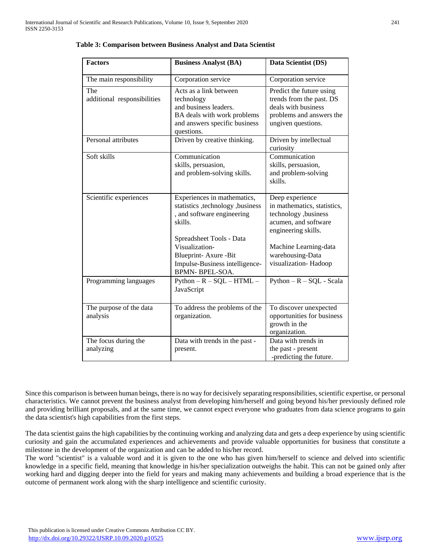| <b>Factors</b>                      | <b>Business Analyst (BA)</b>                                                                                                                | Data Scientist (DS)                                                                                                           |
|-------------------------------------|---------------------------------------------------------------------------------------------------------------------------------------------|-------------------------------------------------------------------------------------------------------------------------------|
| The main responsibility             | Corporation service                                                                                                                         | Corporation service                                                                                                           |
| The<br>additional responsibilities  | Acts as a link between<br>technology<br>and business leaders.<br>BA deals with work problems<br>and answers specific business<br>questions. | Predict the future using<br>trends from the past. DS<br>deals with business<br>problems and answers the<br>ungiven questions. |
| Personal attributes                 | Driven by creative thinking.                                                                                                                | Driven by intellectual<br>curiosity                                                                                           |
| Soft skills                         | Communication<br>skills, persuasion,<br>and problem-solving skills.                                                                         | Communication<br>skills, persuasion,<br>and problem-solving<br>skills.                                                        |
| Scientific experiences              | Experiences in mathematics,<br>statistics , technology , business<br>, and software engineering<br>skills.                                  | Deep experience<br>in mathematics, statistics,<br>technology ,business<br>acumen, and software<br>engineering skills.         |
|                                     | Spreadsheet Tools - Data<br>Visualization-<br>Blueprint-Axure -Bit<br>Impulse-Business intelligence-<br><b>BPMN-BPEL-SOA.</b>               | Machine Learning-data<br>warehousing-Data<br>visualization-Hadoop                                                             |
| Programming languages               | $Python - R - SQL - HTML -$<br>JavaScript                                                                                                   | $Python - R - SQL - Scala$                                                                                                    |
| The purpose of the data<br>analysis | To address the problems of the<br>organization.                                                                                             | To discover unexpected<br>opportunities for business<br>growth in the<br>organization.                                        |
| The focus during the<br>analyzing   | Data with trends in the past -<br>present.                                                                                                  | Data with trends in<br>the past - present<br>-predicting the future.                                                          |

**Table 3: Comparison between Business Analyst and Data Scientist**

Since this comparison is between human beings, there is no way for decisively separating responsibilities, scientific expertise, or personal characteristics. We cannot prevent the business analyst from developing him/herself and going beyond his/her previously defined role and providing brilliant proposals, and at the same time, we cannot expect everyone who graduates from data science programs to gain the data scientist's high capabilities from the first steps.

The data scientist gains the high capabilities by the continuing working and analyzing data and gets a deep experience by using scientific curiosity and gain the accumulated experiences and achievements and provide valuable opportunities for business that constitute a milestone in the development of the organization and can be added to his/her record.

The word "scientist" is a valuable word and it is given to the one who has given him/herself to science and delved into scientific knowledge in a specific field, meaning that knowledge in his/her specialization outweighs the habit. This can not be gained only after working hard and digging deeper into the field for years and making many achievements and building a broad experience that is the outcome of permanent work along with the sharp intelligence and scientific curiosity.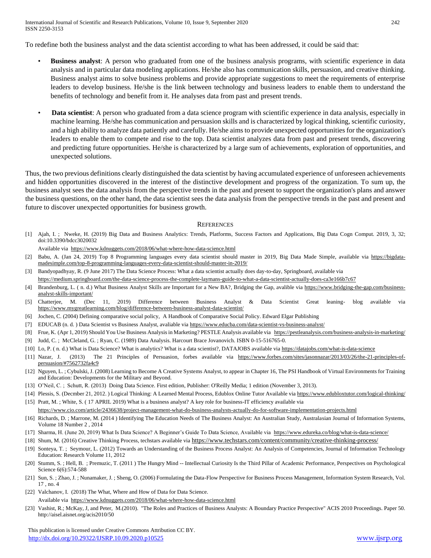International Journal of Scientific and Research Publications, Volume 10, Issue 9, September 2020 242 ISSN 2250-3153

To redefine both the business analyst and the data scientist according to what has been addressed, it could be said that:

- **Business analyst**: A person who graduated from one of the business analysis programs, with scientific experience in data analysis and in particular data modeling applications. He/she also has communication skills, persuasion, and creative thinking. Business analyst aims to solve business problems and provide appropriate suggestions to meet the requirements of enterprise leaders to develop business. He/she is the link between technology and business leaders to enable them to understand the benefits of technology and benefit from it. He analyses data from past and present trends.
- • **Data scientist**: A person who graduated from a data science program with scientific experience in data analysis, especially in machine learning. He/she has communication and persuasion skills and is characterized by logical thinking, scientific curiosity, and a high ability to analyze data patiently and carefully. He/she aims to provide unexpected opportunities for the organization's leaders to enable them to compete and rise to the top. Data scientist analyzes data from past and present trends, discovering and predicting future opportunities. He/she is characterized by a large sum of achievements, exploration of opportunities, and unexpected solutions.

Thus, the two previous definitions clearly distinguished the data scientist by having accumulated experience of unforeseen achievements and hidden opportunities discovered in the interest of the distinctive development and progress of the organization. To sum up, the business analyst sees the data analysis from the perspective trends in the past and present to support the organization's plans and answer the business questions, on the other hand, the data scientist sees the data analysis from the perspective trends in the past and present and future to discover unexpected opportunities for business growth.

#### **REFERENCES**

[1] Ajah, I. ; Nweke, H. (2019) Big Data and Business Analytics: Trends, Platforms, Success Factors and Applications, Big Data Cogn Comput. 2019, 3, 32; doi:10.3390/bdcc3020032

Available via <https://www.kdnuggets.com/2018/06/what-where-how-data-science.html>

- [2] Babu, A. (Jan 24, 2019) Top 8 Programming languages every data scientist should master in 2019, Big Data Made Simple, available via [https://bigdata](https://bigdata-madesimple.com/top-8-programming-languages-every-data-scientist-should-master-in-2019/)[madesimple.com/top-8-programming-languages-every-data-scientist-should-master-in-2019/](https://bigdata-madesimple.com/top-8-programming-languages-every-data-scientist-should-master-in-2019/)
- [3] Bandyopadhyay, R. (9 June 2017) The Data Science Process: What a data scientist actually does day-to-day, Springboard, available via <https://medium.springboard.com/the-data-science-process-the-complete-laymans-guide-to-what-a-data-scientist-actually-does-ca3e166b7c67>
- [4] Brandenburg, L. (n. d.) What Business Analyst Skills are Important for a New BA?, Bridging the Gap, avalible via [https://www.bridging-the-gap.com/business](https://www.bridging-the-gap.com/business-analyst-skills-important/)[analyst-skills-important/](https://www.bridging-the-gap.com/business-analyst-skills-important/)
- [5] Chatterjee, M. (Dec 11, 2019) Difference between Business Analyst & Data Scientist Great leaning- blog available via <https://www.mygreatlearning.com/blog/difference-between-business-analyst-data-scientist/>
- [6] Jochen, C. (2004) Defining comparative social policy, A Handbook of Comparative Social Policy. Edward Elgar Publishing
- [7] EDUCAB (n. d. ) Data Scientist vs Business Analyst, avaliable via<https://www.educba.com/data-scientist-vs-business-analyst/>
- [8] Frue, K. (Apr 1, 2019) Should You Use Business Analysis in Marketing? PESTLE Analysis available via <https://pestleanalysis.com/business-analysis-in-marketing/>
- [9] Judd, C. ; McCleland, G. ; Ryan, C. (1989) Data Analysis. Harcourt Brace Jovanovich. ISBN 0-15-516765-0.
- [10] Lo, P. (n. d.) What is Data Science? What is analytics? What is a data scientist?, DATAJOBS available vi[a https://datajobs.com/what-is-data-science](https://datajobs.com/what-is-data-science)
- [11] Nazar, J. (2013) The 21 Principles of Persuasion, forbes available via [https://www.forbes.com/sites/jasonnazar/2013/03/26/the-21-principles-of](https://www.forbes.com/sites/jasonnazar/2013/03/26/the-21-principles-of-persuasion/#7562732fa4c9)[persuasion/#7562732fa4c9](https://www.forbes.com/sites/jasonnazar/2013/03/26/the-21-principles-of-persuasion/#7562732fa4c9)
- [12] Nguyen, L.; Cybulski, J. (2008) Learning to Become A Creative Systems Analyst, to appear in Chapter 16, The PSI Handbook of Virtual Environments for Training and Education: Developments for the Military and Beyond.
- [13] O'Neil, C. ; Schutt, R. (2013) Doing Data Science. First edition, Publisher: O'Reilly Media; 1 edition (November 3, 2013).
- [14] Plessis, S. (Decmber 21, 2012.) Logical Thinking: A Learned Mental Process, Edublox Online Tutor Available vi[a https://www.edubloxtutor.com/logical-thinking/](https://www.edubloxtutor.com/logical-thinking/) [15] Pratt, M. ; White, S. ( 17 APRIL 2019) What is a business analyst? A key role for business-IT efficiency available via
- <https://www.cio.com/article/2436638/project-management-what-do-business-analysts-actually-do-for-software-implementation-projects.html>
- [16] Richards, D. ; Marrone, M. (2014) Identifying The Education Needs of The Business Analyst: An Australian Study, Australasian Journal of Information Systems, Volume 18 Number 2 , 2014
- [17] Sharma, H. (June 20, 2019) What Is Data Science? A Beginner's Guide To Data Science, Available via <https://www.edureka.co/blog/what-is-data-science/>
- [18] Shum, M. (2016) Creative Thinking Process, techstars available via https://www.techstars.com/content/community/creative-thinking-process/
- [19] Sonteya, T. ; Seymour, L. (2012) Towards an Understanding of the Business Process Analyst: An Analysis of Competencies, Journal of Information Technology Education: Research Volume 11, 2012
- [20] Stumm, S.; Hell, B.; Premuzic, T. (2011) The Hungry Mind -- Intellectual Curiosity Is the Third Pillar of Academic Performance, Perspectives on Psychological Science 6(6):574-588
- [21] Sun, S. ; Zhao, J. ; Nunamaker, J. ; Sheng, O. (2006) Formulating the Data-Flow Perspective for Business Process Management, Information System Research, Vol. 17 , no. 4
- [22] Valchanov, I. (2018) The What, Where and How of Data for Data Science. Available via <https://www.kdnuggets.com/2018/06/what-where-how-data-science.html>
- [23] Vashist, R.; McKay, J, and Peter, M.(2010). "The Roles and Practices of Business Analysts: A Boundary Practice Perspective" ACIS 2010 Proceedings. Paper 50. http://aisel.aisnet.org/acis2010/50

 This publication is licensed under Creative Commons Attribution CC BY. <http://dx.doi.org/10.29322/IJSRP.10.09.2020.p10525> [www.ijsrp.org](http://ijsrp.org/)